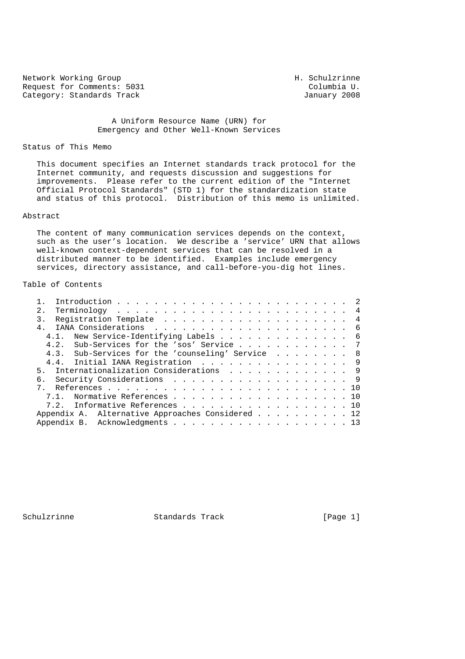Network Working Group Network Working Group Request for Comments: 5031 Columbia U.<br>
Category: Standards Track Category: Standards Track Category: Standards Track

## A Uniform Resource Name (URN) for Emergency and Other Well-Known Services

### Status of This Memo

 This document specifies an Internet standards track protocol for the Internet community, and requests discussion and suggestions for improvements. Please refer to the current edition of the "Internet Official Protocol Standards" (STD 1) for the standardization state and status of this protocol. Distribution of this memo is unlimited.

#### Abstract

 The content of many communication services depends on the context, such as the user's location. We describe a 'service' URN that allows well-known context-dependent services that can be resolved in a distributed manner to be identified. Examples include emergency services, directory assistance, and call-before-you-dig hot lines.

# Table of Contents

| 2.<br>4.1. New Service-Identifying Labels 6<br>4.2. Sub-Services for the 'sos' Service 7 |  |
|------------------------------------------------------------------------------------------|--|
|                                                                                          |  |
|                                                                                          |  |
|                                                                                          |  |
|                                                                                          |  |
|                                                                                          |  |
| 4.3. Sub-Services for the 'counseling' Service 8                                         |  |
| 4.4. Initial IANA Registration 9                                                         |  |
| 5. Internationalization Considerations 9                                                 |  |
| 6. Security Considerations 9                                                             |  |
|                                                                                          |  |
| 7.1. Normative References 10                                                             |  |
| 7.2. Informative References 10                                                           |  |
| Appendix A. Alternative Approaches Considered 12                                         |  |
| Appendix B. Acknowledgments 13                                                           |  |

Schulzrinne Standards Track [Page 1]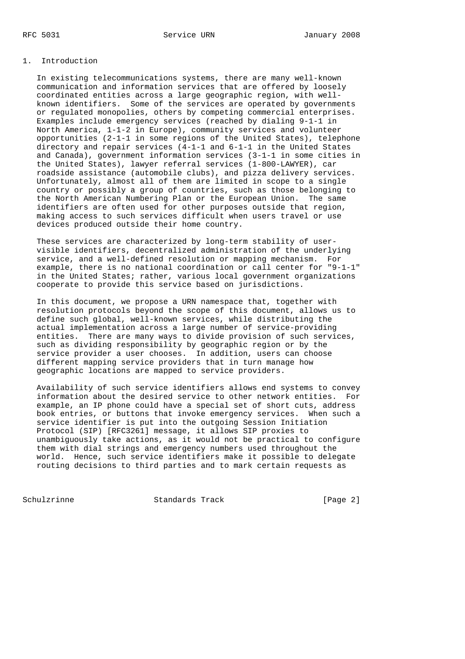## 1. Introduction

 In existing telecommunications systems, there are many well-known communication and information services that are offered by loosely coordinated entities across a large geographic region, with well known identifiers. Some of the services are operated by governments or regulated monopolies, others by competing commercial enterprises. Examples include emergency services (reached by dialing 9-1-1 in North America, 1-1-2 in Europe), community services and volunteer opportunities (2-1-1 in some regions of the United States), telephone directory and repair services (4-1-1 and 6-1-1 in the United States and Canada), government information services (3-1-1 in some cities in the United States), lawyer referral services (1-800-LAWYER), car roadside assistance (automobile clubs), and pizza delivery services. Unfortunately, almost all of them are limited in scope to a single country or possibly a group of countries, such as those belonging to the North American Numbering Plan or the European Union. The same identifiers are often used for other purposes outside that region, making access to such services difficult when users travel or use devices produced outside their home country.

 These services are characterized by long-term stability of user visible identifiers, decentralized administration of the underlying service, and a well-defined resolution or mapping mechanism. For example, there is no national coordination or call center for "9-1-1" in the United States; rather, various local government organizations cooperate to provide this service based on jurisdictions.

 In this document, we propose a URN namespace that, together with resolution protocols beyond the scope of this document, allows us to define such global, well-known services, while distributing the actual implementation across a large number of service-providing entities. There are many ways to divide provision of such services, such as dividing responsibility by geographic region or by the service provider a user chooses. In addition, users can choose different mapping service providers that in turn manage how geographic locations are mapped to service providers.

 Availability of such service identifiers allows end systems to convey information about the desired service to other network entities. For example, an IP phone could have a special set of short cuts, address book entries, or buttons that invoke emergency services. When such a service identifier is put into the outgoing Session Initiation Protocol (SIP) [RFC3261] message, it allows SIP proxies to unambiguously take actions, as it would not be practical to configure them with dial strings and emergency numbers used throughout the world. Hence, such service identifiers make it possible to delegate routing decisions to third parties and to mark certain requests as

Schulzrinne Standards Track [Page 2]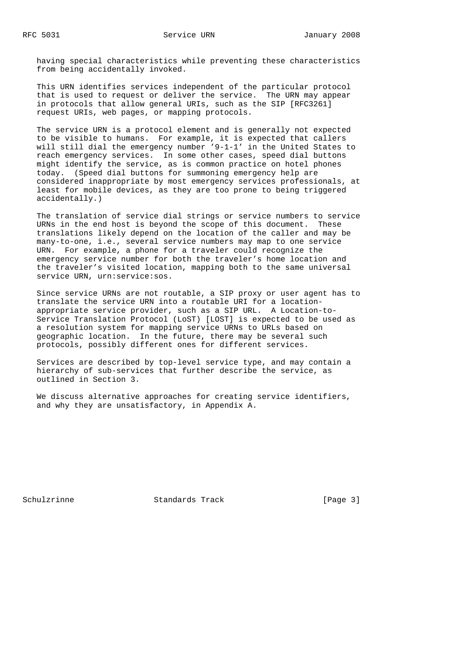having special characteristics while preventing these characteristics from being accidentally invoked.

 This URN identifies services independent of the particular protocol that is used to request or deliver the service. The URN may appear in protocols that allow general URIs, such as the SIP [RFC3261] request URIs, web pages, or mapping protocols.

 The service URN is a protocol element and is generally not expected to be visible to humans. For example, it is expected that callers will still dial the emergency number '9-1-1' in the United States to reach emergency services. In some other cases, speed dial buttons might identify the service, as is common practice on hotel phones today. (Speed dial buttons for summoning emergency help are considered inappropriate by most emergency services professionals, at least for mobile devices, as they are too prone to being triggered accidentally.)

 The translation of service dial strings or service numbers to service URNs in the end host is beyond the scope of this document. These translations likely depend on the location of the caller and may be many-to-one, i.e., several service numbers may map to one service URN. For example, a phone for a traveler could recognize the emergency service number for both the traveler's home location and the traveler's visited location, mapping both to the same universal service URN, urn: service: sos.

 Since service URNs are not routable, a SIP proxy or user agent has to translate the service URN into a routable URI for a location appropriate service provider, such as a SIP URL. A Location-to- Service Translation Protocol (LoST) [LOST] is expected to be used as a resolution system for mapping service URNs to URLs based on geographic location. In the future, there may be several such protocols, possibly different ones for different services.

 Services are described by top-level service type, and may contain a hierarchy of sub-services that further describe the service, as outlined in Section 3.

 We discuss alternative approaches for creating service identifiers, and why they are unsatisfactory, in Appendix A.

Schulzrinne Standards Track [Page 3]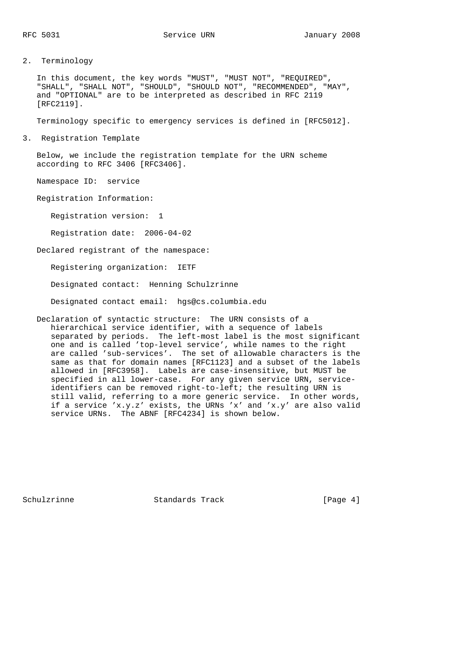2. Terminology

 In this document, the key words "MUST", "MUST NOT", "REQUIRED", "SHALL", "SHALL NOT", "SHOULD", "SHOULD NOT", "RECOMMENDED", "MAY", and "OPTIONAL" are to be interpreted as described in RFC 2119 [RFC2119].

Terminology specific to emergency services is defined in [RFC5012].

3. Registration Template

 Below, we include the registration template for the URN scheme according to RFC 3406 [RFC3406].

Namespace ID: service

Registration Information:

Registration version: 1

Registration date: 2006-04-02

Declared registrant of the namespace:

Registering organization: IETF

Designated contact: Henning Schulzrinne

Designated contact email: hgs@cs.columbia.edu

 Declaration of syntactic structure: The URN consists of a hierarchical service identifier, with a sequence of labels separated by periods. The left-most label is the most significant one and is called 'top-level service', while names to the right are called 'sub-services'. The set of allowable characters is the same as that for domain names [RFC1123] and a subset of the labels allowed in [RFC3958]. Labels are case-insensitive, but MUST be specified in all lower-case. For any given service URN, service identifiers can be removed right-to-left; the resulting URN is still valid, referring to a more generic service. In other words, if a service 'x.y.z' exists, the URNs 'x' and 'x.y' are also valid service URNs. The ABNF [RFC4234] is shown below.

Schulzrinne Standards Track [Page 4]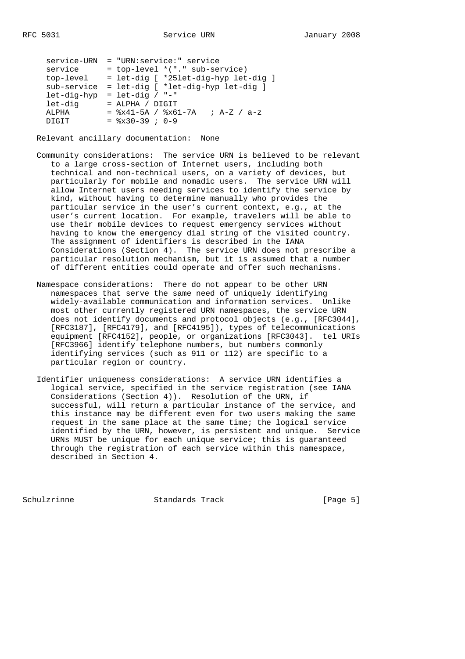| service-URN |                    | = "URN:service:" service          |                                         |
|-------------|--------------------|-----------------------------------|-----------------------------------------|
| service     |                    | $=$ top-level $*(".$ sub-service) |                                         |
| top-level   |                    |                                   | = let-dig [ *25let-dig-hyp let-dig ]    |
| sub-service |                    |                                   | = let-dig [ *let-dig-hyp let-dig ]      |
| let-dig-hyp | $=$ let-dig / "-"  |                                   |                                         |
| let-dig     | $=$ ALPHA / DIGIT  |                                   |                                         |
| ALPHA       |                    |                                   | $=$ $x41-5A$ / $x61-7A$ ; $A-Z$ / $a-z$ |
| DIGIT       | $=$ $x30-39$ ; 0-9 |                                   |                                         |
|             |                    |                                   |                                         |

Relevant ancillary documentation: None

- Community considerations: The service URN is believed to be relevant to a large cross-section of Internet users, including both technical and non-technical users, on a variety of devices, but particularly for mobile and nomadic users. The service URN will allow Internet users needing services to identify the service by kind, without having to determine manually who provides the particular service in the user's current context, e.g., at the user's current location. For example, travelers will be able to use their mobile devices to request emergency services without having to know the emergency dial string of the visited country. The assignment of identifiers is described in the IANA Considerations (Section 4). The service URN does not prescribe a particular resolution mechanism, but it is assumed that a number of different entities could operate and offer such mechanisms.
	- Namespace considerations: There do not appear to be other URN namespaces that serve the same need of uniquely identifying widely-available communication and information services. Unlike most other currently registered URN namespaces, the service URN does not identify documents and protocol objects (e.g., [RFC3044], [RFC3187], [RFC4179], and [RFC4195]), types of telecommunications equipment [RFC4152], people, or organizations [RFC3043]. tel URIs [RFC3966] identify telephone numbers, but numbers commonly identifying services (such as 911 or 112) are specific to a particular region or country.
	- Identifier uniqueness considerations: A service URN identifies a logical service, specified in the service registration (see IANA Considerations (Section 4)). Resolution of the URN, if successful, will return a particular instance of the service, and this instance may be different even for two users making the same request in the same place at the same time; the logical service identified by the URN, however, is persistent and unique. Service URNs MUST be unique for each unique service; this is guaranteed through the registration of each service within this namespace, described in Section 4.

Schulzrinne Standards Track [Page 5]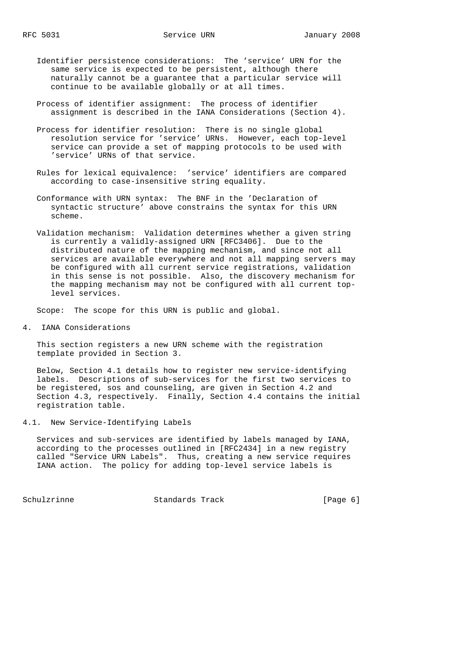- Identifier persistence considerations: The 'service' URN for the same service is expected to be persistent, although there naturally cannot be a guarantee that a particular service will continue to be available globally or at all times.
- Process of identifier assignment: The process of identifier assignment is described in the IANA Considerations (Section 4).
- Process for identifier resolution: There is no single global resolution service for 'service' URNs. However, each top-level service can provide a set of mapping protocols to be used with 'service' URNs of that service.
- Rules for lexical equivalence: 'service' identifiers are compared according to case-insensitive string equality.
- Conformance with URN syntax: The BNF in the 'Declaration of syntactic structure' above constrains the syntax for this URN scheme.
- Validation mechanism: Validation determines whether a given string is currently a validly-assigned URN [RFC3406]. Due to the distributed nature of the mapping mechanism, and since not all services are available everywhere and not all mapping servers may be configured with all current service registrations, validation in this sense is not possible. Also, the discovery mechanism for the mapping mechanism may not be configured with all current top level services.

Scope: The scope for this URN is public and global.

4. IANA Considerations

 This section registers a new URN scheme with the registration template provided in Section 3.

 Below, Section 4.1 details how to register new service-identifying labels. Descriptions of sub-services for the first two services to be registered, sos and counseling, are given in Section 4.2 and Section 4.3, respectively. Finally, Section 4.4 contains the initial registration table.

4.1. New Service-Identifying Labels

 Services and sub-services are identified by labels managed by IANA, according to the processes outlined in [RFC2434] in a new registry called "Service URN Labels". Thus, creating a new service requires IANA action. The policy for adding top-level service labels is

Schulzrinne Standards Track [Page 6]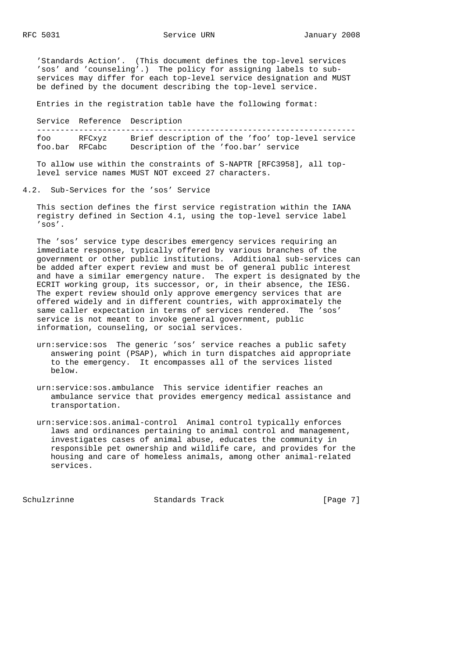'Standards Action'. (This document defines the top-level services 'sos' and 'counseling'.) The policy for assigning labels to sub services may differ for each top-level service designation and MUST be defined by the document describing the top-level service.

Entries in the registration table have the following format:

 Service Reference Description ------------------------------------------------------------------- foo RFCxyz Brief description of the 'foo' top-level service foo.bar RFCabc Description of the 'foo.bar' service

 To allow use within the constraints of S-NAPTR [RFC3958], all top level service names MUST NOT exceed 27 characters.

4.2. Sub-Services for the 'sos' Service

 This section defines the first service registration within the IANA registry defined in Section 4.1, using the top-level service label 'sos'.

 The 'sos' service type describes emergency services requiring an immediate response, typically offered by various branches of the government or other public institutions. Additional sub-services can be added after expert review and must be of general public interest and have a similar emergency nature. The expert is designated by the ECRIT working group, its successor, or, in their absence, the IESG. The expert review should only approve emergency services that are offered widely and in different countries, with approximately the same caller expectation in terms of services rendered. The 'sos' service is not meant to invoke general government, public information, counseling, or social services.

- urn:service:sos The generic 'sos' service reaches a public safety answering point (PSAP), which in turn dispatches aid appropriate to the emergency. It encompasses all of the services listed below.
- urn:service:sos.ambulance This service identifier reaches an ambulance service that provides emergency medical assistance and transportation.
- urn:service:sos.animal-control Animal control typically enforces laws and ordinances pertaining to animal control and management, investigates cases of animal abuse, educates the community in responsible pet ownership and wildlife care, and provides for the housing and care of homeless animals, among other animal-related services.

Schulzrinne Standards Track [Page 7]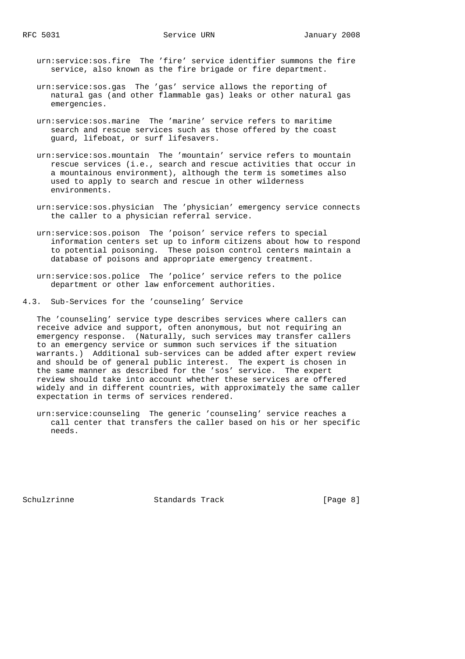urn:service:sos.fire The 'fire' service identifier summons the fire service, also known as the fire brigade or fire department.

- urn:service:sos.gas The 'gas' service allows the reporting of natural gas (and other flammable gas) leaks or other natural gas emergencies.
- urn:service:sos.marine The 'marine' service refers to maritime search and rescue services such as those offered by the coast guard, lifeboat, or surf lifesavers.
- urn:service:sos.mountain The 'mountain' service refers to mountain rescue services (i.e., search and rescue activities that occur in a mountainous environment), although the term is sometimes also used to apply to search and rescue in other wilderness environments.
- urn:service:sos.physician The 'physician' emergency service connects the caller to a physician referral service.
- urn:service:sos.poison The 'poison' service refers to special information centers set up to inform citizens about how to respond to potential poisoning. These poison control centers maintain a database of poisons and appropriate emergency treatment.
- urn:service:sos.police The 'police' service refers to the police department or other law enforcement authorities.
- 4.3. Sub-Services for the 'counseling' Service

 The 'counseling' service type describes services where callers can receive advice and support, often anonymous, but not requiring an emergency response. (Naturally, such services may transfer callers to an emergency service or summon such services if the situation warrants.) Additional sub-services can be added after expert review and should be of general public interest. The expert is chosen in the same manner as described for the 'sos' service. The expert review should take into account whether these services are offered widely and in different countries, with approximately the same caller expectation in terms of services rendered.

 urn:service:counseling The generic 'counseling' service reaches a call center that transfers the caller based on his or her specific needs.

Schulzrinne Standards Track [Page 8]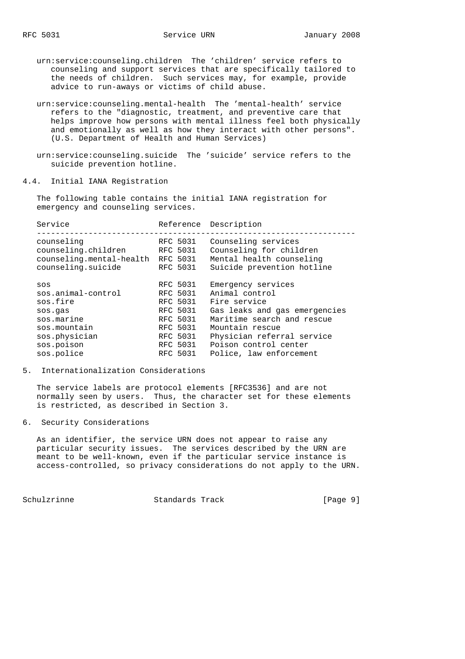urn:service:counseling.children The 'children' service refers to counseling and support services that are specifically tailored to the needs of children. Such services may, for example, provide advice to run-aways or victims of child abuse.

- urn:service:counseling.mental-health The 'mental-health' service refers to the "diagnostic, treatment, and preventive care that helps improve how persons with mental illness feel both physically and emotionally as well as how they interact with other persons". (U.S. Department of Health and Human Services)
- urn:service:counseling.suicide The 'suicide' service refers to the suicide prevention hotline.

4.4. Initial IANA Registration

 The following table contains the initial IANA registration for emergency and counseling services.

| Service                  |          | Reference Description         |  |
|--------------------------|----------|-------------------------------|--|
| counseling               | RFC 5031 | Counseling services           |  |
| counseling.children      | RFC 5031 | Counseling for children       |  |
| counseling.mental-health | RFC 5031 | Mental health counseling      |  |
| counseling.suicide       | RFC 5031 | Suicide prevention hotline    |  |
| SOS                      | RFC 5031 | Emergency services            |  |
| sos.animal-control       | RFC 5031 | Animal control                |  |
| sos.fire                 | RFC 5031 | Fire service                  |  |
| sos.gas                  | RFC 5031 | Gas leaks and gas emergencies |  |
| sos.marine               | RFC 5031 | Maritime search and rescue    |  |
| sos.mountain             | RFC 5031 | Mountain rescue               |  |
| sos.physician            | RFC 5031 | Physician referral service    |  |
| sos.poison               | RFC 5031 | Poison control center         |  |
| sos.police               | RFC 5031 |                               |  |

#### 5. Internationalization Considerations

 The service labels are protocol elements [RFC3536] and are not normally seen by users. Thus, the character set for these elements is restricted, as described in Section 3.

6. Security Considerations

 As an identifier, the service URN does not appear to raise any particular security issues. The services described by the URN are meant to be well-known, even if the particular service instance is access-controlled, so privacy considerations do not apply to the URN.

Schulzrinne Standards Track [Page 9]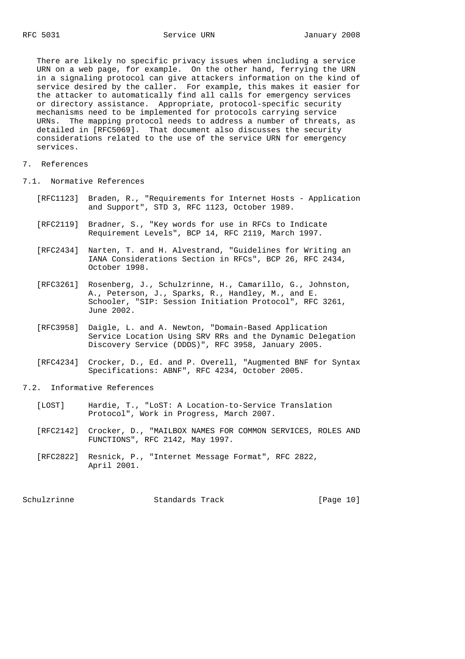There are likely no specific privacy issues when including a service URN on a web page, for example. On the other hand, ferrying the URN in a signaling protocol can give attackers information on the kind of service desired by the caller. For example, this makes it easier for the attacker to automatically find all calls for emergency services or directory assistance. Appropriate, protocol-specific security mechanisms need to be implemented for protocols carrying service URNs. The mapping protocol needs to address a number of threats, as detailed in [RFC5069]. That document also discusses the security considerations related to the use of the service URN for emergency services.

- 7. References
- 7.1. Normative References
	- [RFC1123] Braden, R., "Requirements for Internet Hosts Application and Support", STD 3, RFC 1123, October 1989.
	- [RFC2119] Bradner, S., "Key words for use in RFCs to Indicate Requirement Levels", BCP 14, RFC 2119, March 1997.
	- [RFC2434] Narten, T. and H. Alvestrand, "Guidelines for Writing an IANA Considerations Section in RFCs", BCP 26, RFC 2434, October 1998.
	- [RFC3261] Rosenberg, J., Schulzrinne, H., Camarillo, G., Johnston, A., Peterson, J., Sparks, R., Handley, M., and E. Schooler, "SIP: Session Initiation Protocol", RFC 3261, June 2002.
	- [RFC3958] Daigle, L. and A. Newton, "Domain-Based Application Service Location Using SRV RRs and the Dynamic Delegation Discovery Service (DDDS)", RFC 3958, January 2005.
	- [RFC4234] Crocker, D., Ed. and P. Overell, "Augmented BNF for Syntax Specifications: ABNF", RFC 4234, October 2005.
- 7.2. Informative References
	- [LOST] Hardie, T., "LoST: A Location-to-Service Translation Protocol", Work in Progress, March 2007.
	- [RFC2142] Crocker, D., "MAILBOX NAMES FOR COMMON SERVICES, ROLES AND FUNCTIONS", RFC 2142, May 1997.
	- [RFC2822] Resnick, P., "Internet Message Format", RFC 2822, April 2001.

Schulzrinne Standards Track [Page 10]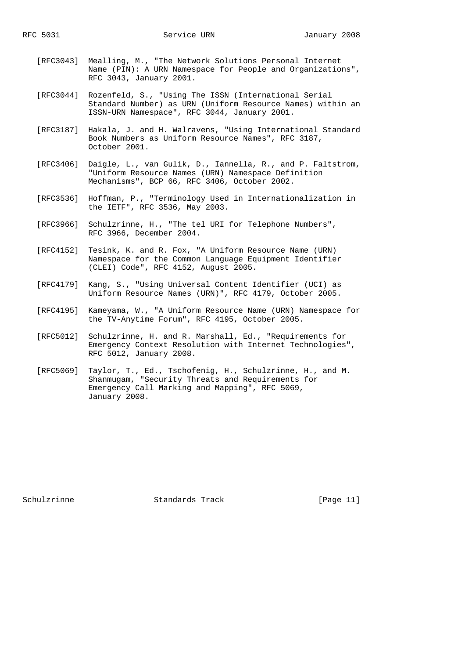- [RFC3043] Mealling, M., "The Network Solutions Personal Internet Name (PIN): A URN Namespace for People and Organizations", RFC 3043, January 2001.
- [RFC3044] Rozenfeld, S., "Using The ISSN (International Serial Standard Number) as URN (Uniform Resource Names) within an ISSN-URN Namespace", RFC 3044, January 2001.
- [RFC3187] Hakala, J. and H. Walravens, "Using International Standard Book Numbers as Uniform Resource Names", RFC 3187, October 2001.
- [RFC3406] Daigle, L., van Gulik, D., Iannella, R., and P. Faltstrom, "Uniform Resource Names (URN) Namespace Definition Mechanisms", BCP 66, RFC 3406, October 2002.
- [RFC3536] Hoffman, P., "Terminology Used in Internationalization in the IETF", RFC 3536, May 2003.
- [RFC3966] Schulzrinne, H., "The tel URI for Telephone Numbers", RFC 3966, December 2004.
- [RFC4152] Tesink, K. and R. Fox, "A Uniform Resource Name (URN) Namespace for the Common Language Equipment Identifier (CLEI) Code", RFC 4152, August 2005.
- [RFC4179] Kang, S., "Using Universal Content Identifier (UCI) as Uniform Resource Names (URN)", RFC 4179, October 2005.
- [RFC4195] Kameyama, W., "A Uniform Resource Name (URN) Namespace for the TV-Anytime Forum", RFC 4195, October 2005.
- [RFC5012] Schulzrinne, H. and R. Marshall, Ed., "Requirements for Emergency Context Resolution with Internet Technologies", RFC 5012, January 2008.
- [RFC5069] Taylor, T., Ed., Tschofenig, H., Schulzrinne, H., and M. Shanmugam, "Security Threats and Requirements for Emergency Call Marking and Mapping", RFC 5069, January 2008.

Schulzrinne Standards Track [Page 11]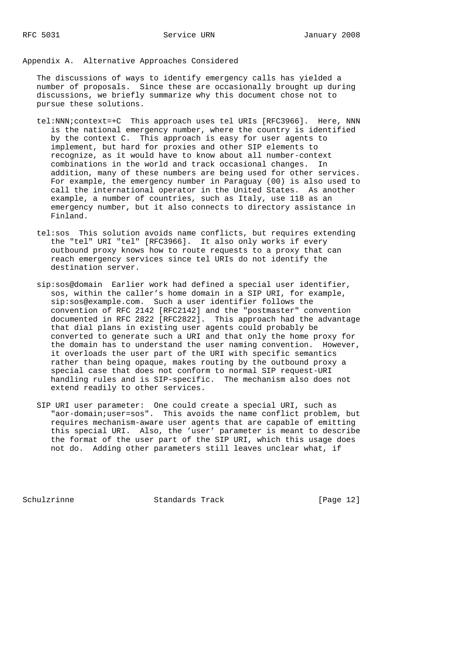## Appendix A. Alternative Approaches Considered

 The discussions of ways to identify emergency calls has yielded a number of proposals. Since these are occasionally brought up during discussions, we briefly summarize why this document chose not to pursue these solutions.

- tel:NNN;context=+C This approach uses tel URIs [RFC3966]. Here, NNN is the national emergency number, where the country is identified by the context C. This approach is easy for user agents to implement, but hard for proxies and other SIP elements to recognize, as it would have to know about all number-context combinations in the world and track occasional changes. In addition, many of these numbers are being used for other services. For example, the emergency number in Paraguay (00) is also used to call the international operator in the United States. As another example, a number of countries, such as Italy, use 118 as an emergency number, but it also connects to directory assistance in Finland.
- tel:sos This solution avoids name conflicts, but requires extending the "tel" URI "tel" [RFC3966]. It also only works if every outbound proxy knows how to route requests to a proxy that can reach emergency services since tel URIs do not identify the destination server.
- sip:sos@domain Earlier work had defined a special user identifier, sos, within the caller's home domain in a SIP URI, for example, sip:sos@example.com. Such a user identifier follows the convention of RFC 2142 [RFC2142] and the "postmaster" convention documented in RFC 2822 [RFC2822]. This approach had the advantage that dial plans in existing user agents could probably be converted to generate such a URI and that only the home proxy for the domain has to understand the user naming convention. However, it overloads the user part of the URI with specific semantics rather than being opaque, makes routing by the outbound proxy a special case that does not conform to normal SIP request-URI handling rules and is SIP-specific. The mechanism also does not extend readily to other services.
- SIP URI user parameter: One could create a special URI, such as "aor-domain;user=sos". This avoids the name conflict problem, but requires mechanism-aware user agents that are capable of emitting this special URI. Also, the 'user' parameter is meant to describe the format of the user part of the SIP URI, which this usage does not do. Adding other parameters still leaves unclear what, if

Schulzrinne Standards Track [Page 12]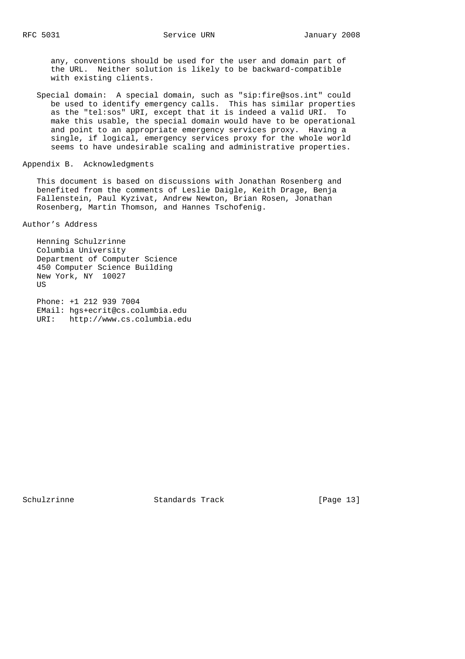any, conventions should be used for the user and domain part of the URL. Neither solution is likely to be backward-compatible with existing clients.

 Special domain: A special domain, such as "sip:fire@sos.int" could be used to identify emergency calls. This has similar properties as the "tel:sos" URI, except that it is indeed a valid URI. To make this usable, the special domain would have to be operational and point to an appropriate emergency services proxy. Having a single, if logical, emergency services proxy for the whole world seems to have undesirable scaling and administrative properties.

#### Appendix B. Acknowledgments

 This document is based on discussions with Jonathan Rosenberg and benefited from the comments of Leslie Daigle, Keith Drage, Benja Fallenstein, Paul Kyzivat, Andrew Newton, Brian Rosen, Jonathan Rosenberg, Martin Thomson, and Hannes Tschofenig.

Author's Address

 Henning Schulzrinne Columbia University Department of Computer Science 450 Computer Science Building New York, NY 10027 **US** 

 Phone: +1 212 939 7004 EMail: hgs+ecrit@cs.columbia.edu URI: http://www.cs.columbia.edu

Schulzrinne Standards Track [Page 13]